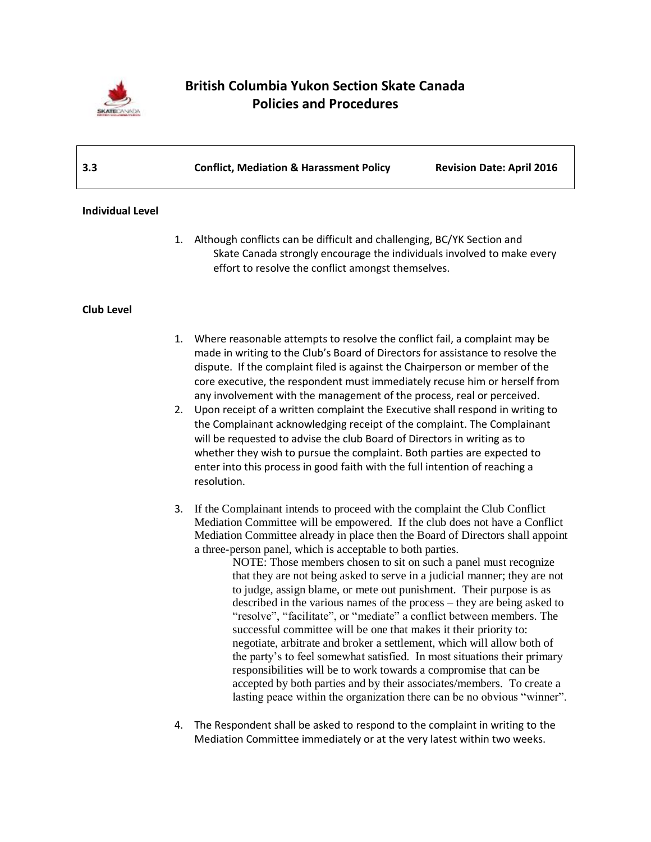

# **British Columbia Yukon Section Skate Canada Policies and Procedures**

| 3.3 | <b>Conflict, Mediation &amp; Harassment Policy</b> | <b>Revision Date: April 2016</b> |
|-----|----------------------------------------------------|----------------------------------|
|     |                                                    |                                  |

### **Individual Level**

1. Although conflicts can be difficult and challenging, BC/YK Section and Skate Canada strongly encourage the individuals involved to make every effort to resolve the conflict amongst themselves.

## **Club Level**

- 1. Where reasonable attempts to resolve the conflict fail, a complaint may be made in writing to the Club's Board of Directors for assistance to resolve the dispute. If the complaint filed is against the Chairperson or member of the core executive, the respondent must immediately recuse him or herself from any involvement with the management of the process, real or perceived.
- 2. Upon receipt of a written complaint the Executive shall respond in writing to the Complainant acknowledging receipt of the complaint. The Complainant will be requested to advise the club Board of Directors in writing as to whether they wish to pursue the complaint. Both parties are expected to enter into this process in good faith with the full intention of reaching a resolution.
- 3. If the Complainant intends to proceed with the complaint the Club Conflict Mediation Committee will be empowered. If the club does not have a Conflict Mediation Committee already in place then the Board of Directors shall appoint a three-person panel, which is acceptable to both parties.
	- NOTE: Those members chosen to sit on such a panel must recognize that they are not being asked to serve in a judicial manner; they are not to judge, assign blame, or mete out punishment. Their purpose is as described in the various names of the process – they are being asked to "resolve", "facilitate", or "mediate" a conflict between members. The successful committee will be one that makes it their priority to: negotiate, arbitrate and broker a settlement, which will allow both of the party's to feel somewhat satisfied. In most situations their primary responsibilities will be to work towards a compromise that can be accepted by both parties and by their associates/members. To create a lasting peace within the organization there can be no obvious "winner".
- 4. The Respondent shall be asked to respond to the complaint in writing to the Mediation Committee immediately or at the very latest within two weeks.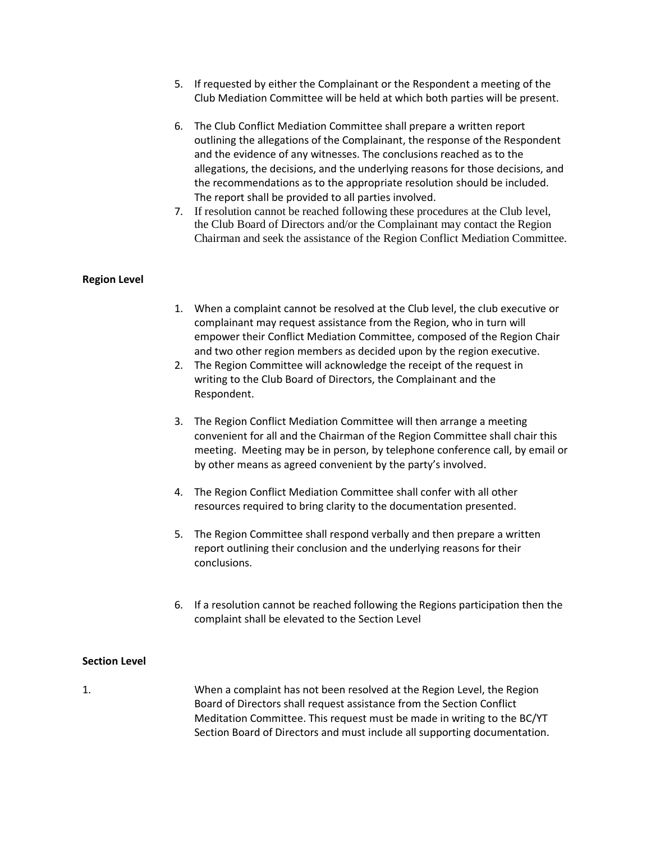- 5. If requested by either the Complainant or the Respondent a meeting of the Club Mediation Committee will be held at which both parties will be present.
- 6. The Club Conflict Mediation Committee shall prepare a written report outlining the allegations of the Complainant, the response of the Respondent and the evidence of any witnesses. The conclusions reached as to the allegations, the decisions, and the underlying reasons for those decisions, and the recommendations as to the appropriate resolution should be included. The report shall be provided to all parties involved.
- 7. If resolution cannot be reached following these procedures at the Club level, the Club Board of Directors and/or the Complainant may contact the Region Chairman and seek the assistance of the Region Conflict Mediation Committee.

### **Region Level**

- 1. When a complaint cannot be resolved at the Club level, the club executive or complainant may request assistance from the Region, who in turn will empower their Conflict Mediation Committee, composed of the Region Chair and two other region members as decided upon by the region executive.
- 2. The Region Committee will acknowledge the receipt of the request in writing to the Club Board of Directors, the Complainant and the Respondent.
- 3. The Region Conflict Mediation Committee will then arrange a meeting convenient for all and the Chairman of the Region Committee shall chair this meeting. Meeting may be in person, by telephone conference call, by email or by other means as agreed convenient by the party's involved.
- 4. The Region Conflict Mediation Committee shall confer with all other resources required to bring clarity to the documentation presented.
- 5. The Region Committee shall respond verbally and then prepare a written report outlining their conclusion and the underlying reasons for their conclusions.
- 6. If a resolution cannot be reached following the Regions participation then the complaint shall be elevated to the Section Level

## **Section Level**

1. When a complaint has not been resolved at the Region Level, the Region Board of Directors shall request assistance from the Section Conflict Meditation Committee. This request must be made in writing to the BC/YT Section Board of Directors and must include all supporting documentation.